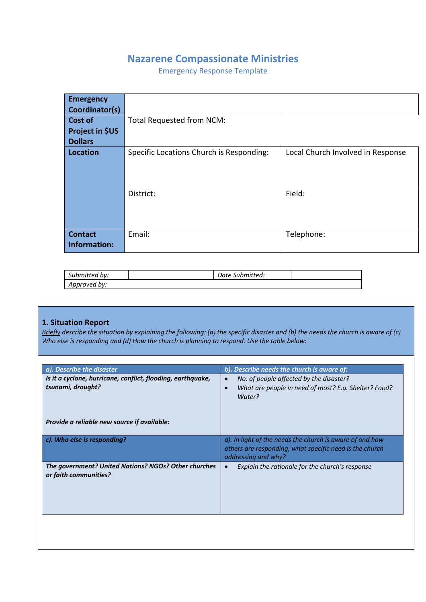# **Nazarene Compassionate Ministries**

Emergency Response Template

| <b>Emergency</b><br>Coordinator(s) |                                          |                                   |
|------------------------------------|------------------------------------------|-----------------------------------|
| Cost of                            | Total Requested from NCM:                |                                   |
| Project in \$US                    |                                          |                                   |
| <b>Dollars</b>                     |                                          |                                   |
| <b>Location</b>                    | Specific Locations Church is Responding: | Local Church Involved in Response |
|                                    |                                          |                                   |
|                                    |                                          |                                   |
|                                    | District:                                | Field:                            |
|                                    |                                          |                                   |
|                                    |                                          |                                   |
|                                    |                                          |                                   |
| <b>Contact</b>                     | Email:                                   | Telephone:                        |
| Information:                       |                                          |                                   |

| Submitted by: | Date Submitted: |  |
|---------------|-----------------|--|
| Approved by:  |                 |  |

# **1. Situation Report**

*Briefly describe the situation by explaining the following: (a) the specific disaster and (b) the needs the church is aware of (c) Who else is responding and (d) How the church is planning to respond. Use the table below:*

| Is it a cyclone, hurricane, conflict, flooding, earthquake,<br>No. of people affected by the disaster?<br>$\bullet$<br>tsunami, drought?<br>What are people in need of most? E.g. Shelter? Food?<br>$\bullet$<br>Water?<br>Provide a reliable new source if available:<br>c). Who else is responding?<br>d). In light of the needs the church is aware of and how<br>others are responding, what specific need is the church |  |
|------------------------------------------------------------------------------------------------------------------------------------------------------------------------------------------------------------------------------------------------------------------------------------------------------------------------------------------------------------------------------------------------------------------------------|--|
|                                                                                                                                                                                                                                                                                                                                                                                                                              |  |
|                                                                                                                                                                                                                                                                                                                                                                                                                              |  |
| addressing and why?                                                                                                                                                                                                                                                                                                                                                                                                          |  |
| The government? United Nations? NGOs? Other churches<br>Explain the rationale for the church's response<br>or faith communities?                                                                                                                                                                                                                                                                                             |  |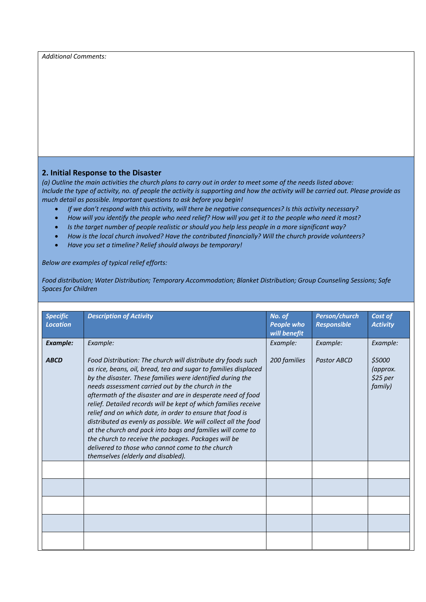*Additional Comments:*

#### **2. Initial Response to the Disaster**

*(a) Outline the main activities the church plans to carry out in order to meet some of the needs listed above: Include the type of activity, no. of people the activity is supporting and how the activity will be carried out. Please provide as much detail as possible. Important questions to ask before you begin!*

- *If we don't respond with this activity, will there be negative consequences? Is this activity necessary?*
- *How will you identify the people who need relief? How will you get it to the people who need it most?*
- *Is the target number of people realistic or should you help less people in a more significant way?*
- *How is the local church involved? Have the contributed financially? Will the church provide volunteers?*
- *Have you set a timeline? Relief should always be temporary!*

*Below are examples of typical relief efforts:*

*Food distribution; Water Distribution; Temporary Accommodation; Blanket Distribution; Group Counseling Sessions; Safe Spaces for Children*

| <b>Specific</b><br><b>Location</b> | <b>Description of Activity</b>                                                                                                                                                                                                                                                                                                                                                                                                                                                                                                                                                                                                                                                                                                       | No. of<br>People who<br>will benefit | Person/church<br><b>Responsible</b> | Cost of<br><b>Activity</b>                 |
|------------------------------------|--------------------------------------------------------------------------------------------------------------------------------------------------------------------------------------------------------------------------------------------------------------------------------------------------------------------------------------------------------------------------------------------------------------------------------------------------------------------------------------------------------------------------------------------------------------------------------------------------------------------------------------------------------------------------------------------------------------------------------------|--------------------------------------|-------------------------------------|--------------------------------------------|
| <b>Example:</b>                    | Example:                                                                                                                                                                                                                                                                                                                                                                                                                                                                                                                                                                                                                                                                                                                             | Example:                             | Example:                            | Example:                                   |
| <b>ABCD</b>                        | Food Distribution: The church will distribute dry foods such<br>as rice, beans, oil, bread, tea and sugar to families displaced<br>by the disaster. These families were identified during the<br>needs assessment carried out by the church in the<br>aftermath of the disaster and are in desperate need of food<br>relief. Detailed records will be kept of which families receive<br>relief and on which date, in order to ensure that food is<br>distributed as evenly as possible. We will collect all the food<br>at the church and pack into bags and families will come to<br>the church to receive the packages. Packages will be<br>delivered to those who cannot come to the church<br>themselves (elderly and disabled). | 200 families                         | <b>Pastor ABCD</b>                  | \$5000<br>(approx.<br>$$25$ per<br>family) |
|                                    |                                                                                                                                                                                                                                                                                                                                                                                                                                                                                                                                                                                                                                                                                                                                      |                                      |                                     |                                            |
|                                    |                                                                                                                                                                                                                                                                                                                                                                                                                                                                                                                                                                                                                                                                                                                                      |                                      |                                     |                                            |
|                                    |                                                                                                                                                                                                                                                                                                                                                                                                                                                                                                                                                                                                                                                                                                                                      |                                      |                                     |                                            |
|                                    |                                                                                                                                                                                                                                                                                                                                                                                                                                                                                                                                                                                                                                                                                                                                      |                                      |                                     |                                            |
|                                    |                                                                                                                                                                                                                                                                                                                                                                                                                                                                                                                                                                                                                                                                                                                                      |                                      |                                     |                                            |